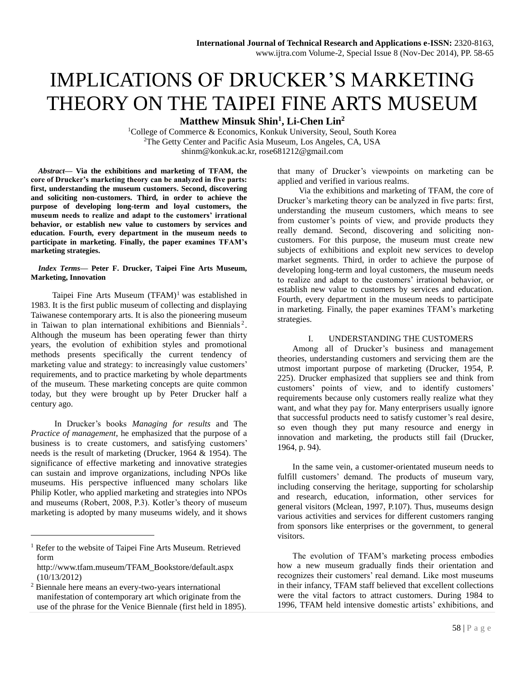# IMPLICATIONS OF DRUCKER'S MARKETING THEORY ON THE TAIPEI FINE ARTS MUSEUM

**Matthew Minsuk Shin<sup>1</sup> , Li-Chen Lin<sup>2</sup>**

<sup>1</sup>College of Commerce & Economics, Konkuk University, Seoul, South Korea <sup>2</sup>The Getty Center and Pacific Asia Museum, Los Angeles, CA, USA shinm@konkuk.ac.kr, rose681212@gmail.com

*Abstract***— Via the exhibitions and marketing of TFAM, the core of Drucker's marketing theory can be analyzed in five parts: first, understanding the museum customers. Second, discovering and soliciting non-customers. Third, in order to achieve the purpose of developing long-term and loyal customers, the museum needs to realize and adapt to the customers' irrational behavior, or establish new value to customers by services and education. Fourth, every department in the museum needs to participate in marketing. Finally, the paper examines TFAM's marketing strategies.**

### *Index Terms***— Peter F. Drucker, Taipei Fine Arts Museum, Marketing, Innovation**

Taipei Fine Arts Museum  $(TFAM)^1$  was established in 1983. It is the first public museum of collecting and displaying Taiwanese contemporary arts. It is also the pioneering museum in Taiwan to plan international exhibitions and Biennials<sup>2</sup>. Although the museum has been operating fewer than thirty years, the evolution of exhibition styles and promotional methods presents specifically the current tendency of marketing value and strategy: to increasingly value customers' requirements, and to practice marketing by whole departments of the museum. These marketing concepts are quite common today, but they were brought up by Peter Drucker half a century ago.

In Drucker's books *Managing for results* and The *Practice of management*, he emphasized that the purpose of a business is to create customers, and satisfying customers' needs is the result of marketing (Drucker, 1964 & 1954). The significance of effective marketing and innovative strategies can sustain and improve organizations, including NPOs like museums. His perspective influenced many scholars like Philip Kotler, who applied marketing and strategies into NPOs and museums (Robert, 2008, P.3). Kotler's theory of museum marketing is adopted by many museums widely, and it shows

 $\overline{a}$ 

that many of Drucker's viewpoints on marketing can be applied and verified in various realms.

Via the exhibitions and marketing of TFAM, the core of Drucker's marketing theory can be analyzed in five parts: first, understanding the museum customers, which means to see from customer's points of view, and provide products they really demand. Second, discovering and soliciting noncustomers. For this purpose, the museum must create new subjects of exhibitions and exploit new services to develop market segments. Third, in order to achieve the purpose of developing long-term and loyal customers, the museum needs to realize and adapt to the customers' irrational behavior, or establish new value to customers by services and education. Fourth, every department in the museum needs to participate in marketing. Finally, the paper examines TFAM's marketing strategies.

# I. UNDERSTANDING THE CUSTOMERS

Among all of Drucker's business and management theories, understanding customers and servicing them are the utmost important purpose of marketing (Drucker, 1954, P. 225). Drucker emphasized that suppliers see and think from customers' points of view, and to identify customers' requirements because only customers really realize what they want, and what they pay for. Many enterprisers usually ignore that successful products need to satisfy customer's real desire, so even though they put many resource and energy in innovation and marketing, the products still fail (Drucker, 1964, p. 94).

In the same vein, a customer-orientated museum needs to fulfill customers' demand. The products of museum vary, including conserving the heritage, supporting for scholarship and research, education, information, other services for general visitors (Mclean, 1997, P.107). Thus, museums design various activities and services for different customers ranging from sponsors like enterprises or the government, to general visitors.

The evolution of TFAM's marketing process embodies how a new museum gradually finds their orientation and recognizes their customers' real demand. Like most museums [in](http://www.showxiu.com/fan_yi/in/) their [inf](http://www.showxiu.com/fan_yi/in/)ancy, TFAM staff believed that excellent collections were the vital factors to attract customers. During 1984 to 1996, TFAM held intensive domestic artists' exhibitions, and

<sup>&</sup>lt;sup>1</sup> Refer to the website of Taipei Fine Arts Museum. Retrieved form

[http://www.tfam.museum/TFAM\\_Bookstore/default.aspx](http://www.tfam.museum/TFAM_Bookstore/default.aspx) (10/13/2012)

<sup>2</sup> Biennale here means an every-two-years international manifestation of contemporary art which originate from the use of the phrase for the [Venice Biennale](http://en.wikipedia.org/wiki/Venice_Biennale) (first held in 1895).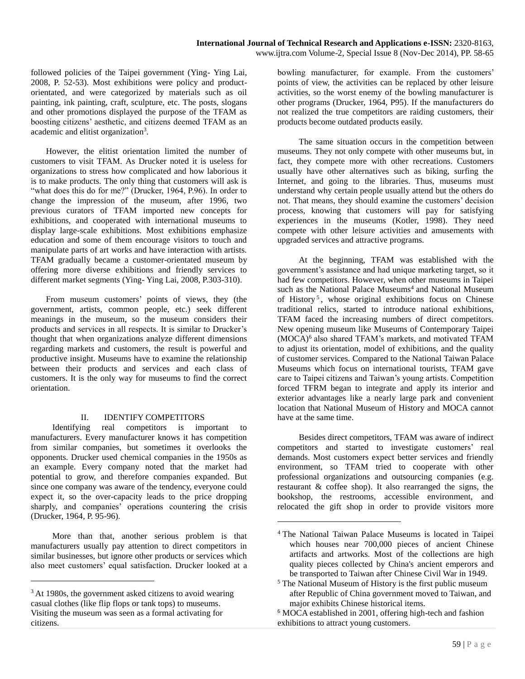followed policies of the Taipei government (Ying- Ying Lai, 2008, P. 52-53). Most exhibitions were policy and productorientated, and were categorized by materials such as oil painting, ink painting, craft, sculpture, etc. The posts, slogans and other promotions displayed the purpose of the TFAM as boosting citizens' aesthetic, and citizens deemed TFAM as an academic and elitist organization<sup>3</sup>.

However, the elitist orientation limited the number of customers to visit TFAM. As Drucker noted it is useless for organizations to stress how complicated and how laborious it is to make products. The only thing that customers will ask is "what does this do for me?" (Drucker, 1964, P.96). In order to change the impression of the museum, after 1996, two previous curators of TFAM imported new concepts for exhibitions, and cooperated with international museums to display large-scale exhibitions. Most exhibitions emphasize education and some of them encourage visitors to touch and manipulate parts of art works and have interaction with artists. TFAM gradually became a customer-orientated museum by offering more diverse exhibitions and friendly services to different market segments (Ying- Ying Lai, 2008, P.303-310).

From museum customers' points of views, they (the government, artists, common people, etc.) seek different meanings in the museum, so the museum considers their products and services in all respects. It is similar to Drucker's thought that when organizations analyze different dimensions regarding markets and customers, the result is powerful and productive insight. Museums have to examine the relationship between their products and services and each class of customers. It is the only way for museums to find the correct orientation.

## II. IDENTIFY COMPETITORS

Identifying real competitors is important to manufacturers. Every manufacturer knows it has competition from similar companies, but sometimes it overlooks the opponents. Drucker used chemical companies in the 1950s as an example. Every company noted that the market had potential to grow, and therefore companies expanded. But since one company was aware of the tendency, everyone could expect it, so the over-capacity leads to the price dropping sharply, and companies' operations countering the crisis (Drucker, 1964, P. 95-96).

More than that, another serious problem is that manufacturers usually pay attention to direct competitors in similar businesses, but ignore other products or services which also meet customers' equal satisfaction. Drucker looked at a

 $\overline{a}$ 

bowling manufacturer, for example. From the customers' points of view, the activities can be replaced by other leisure activities, so the worst enemy of the bowling manufacturer is other programs (Drucker, 1964, P95). If the manufacturers do not realized the true competitors are raiding customers, their products become outdated products easily.

The same situation occurs in the competition between museums. They not only compete with other museums but, in fact, they compete more with other recreations. Customers usually have other alternatives such as biking, surfing the Internet, and going to the libraries. Thus, museums must understand why certain people usually attend but the others do not. That means, they should examine the customers' decision process, knowing that customers will pay for satisfying experiences in the museums (Kotler, 1998). They need compete with other leisure activities and amusements with upgraded services and attractive programs.

At the beginning, TFAM was established with the government's assistance and had unique marketing target, so it had few competitors. However, when other museums in Taipei such as the National Palace Museums<sup>4</sup> and National Museum of History<sup>5</sup>, whose original exhibitions focus on Chinese traditional relics, started to introduce national exhibitions, TFAM faced the increasing numbers of direct competitors. New opening museum like Museums of Contemporary Taipei (MOCA)<sup>6</sup> also shared TFAM's markets, and motivated TFAM to adjust its orientation, model of exhibitions, and the quality of customer services. Compared to the National Taiwan Palace Museums which focus on international tourists, TFAM gave care to Taipei citizens and Taiwan's young artists. Competition forced TFRM began to integrate and apply its interior and exterior advantages like a nearly large park and convenient location that National Museum of History and MOCA cannot have at the same time.

Besides direct competitors, TFAM was aware of indirect competitors and started to investigate customers' real demands. Most customers expect better services and friendly environment, so TFAM tried to cooperate with other professional organizations and outsourcing companies (e.g. restaurant & coffee shop). It also rearranged the signs, the bookshop, the restrooms, accessible environment, and relocated the gift shop in order to provide visitors more

<sup>&</sup>lt;sup>3</sup> At 1980s, the government asked citizens to avoid wearing casual clothes (like flip flops or tank tops) to museums. Visiting the museum was seen as a formal activating for citizens.

<sup>4</sup> The National Taiwan Palace Museums is located in Taipei which houses near 700,000 pieces of [ancient Chinese](http://en.wikipedia.org/wiki/History_of_China) artifacts and artworks. Most of the collections are high quality pieces collected by China's [ancient emperors](http://en.wikipedia.org/wiki/Emperor_of_China) and be transported to Taiwan after Chinese Civil War in 1949.

<sup>5</sup> The National Museum of History is the first public museum afte[r Republic of China](http://en.wikipedia.org/wiki/Republic_of_China) government moved to Taiwan, and major exhibits Chinese historical items.

<sup>6</sup> MOCA established in 2001, offering high-tech and fashion exhibitions to attract young customers.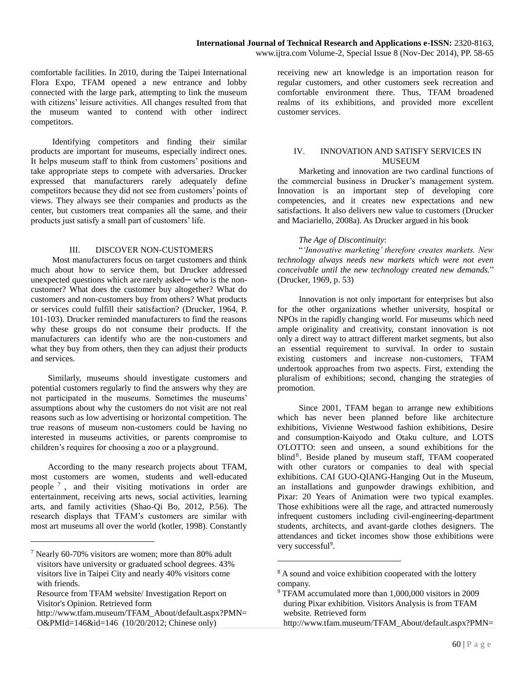comfortable facilities. In 2010, during the Taipei International Flora Expo, TFAM opened a new entrance and lobby connected with the large park, attempting to link the museum with citizens' leisure activities. All changes resulted from that the museum wanted to contend with other indirect competitors.

Identifying competitors and finding their similar products are important for museums, especially indirect ones. It helps museum staff to think from customers' positions and take appropriate steps to compete with adversaries. Drucker expressed that manufacturers rarely adequately define competitors because they did not see from customers' points of views. They always see their companies and products as the center, but customers treat companies all the same, and their products just satisfy a small part of customers' life.

## III. DISCOVER NON-CUSTOMERS

Most manufacturers focus on target customers and think much about how to service them, but Drucker addressed unexpected questions which are rarely asked— who is the noncustomer? What does the customer buy altogether? What do customers and non-customers buy from others? What products or services could fulfill their satisfaction? (Drucker, 1964, P. 101-103). Drucker reminded manufacturers to find the reasons why these groups do not consume their products. If the manufacturers can identify who are the non-customers and what they buy from others, then they can adjust their products and services.

Similarly, museums should investigate customers and potential customers regularly to find the answers why they are not participated in the museums. Sometimes the museums' assumptions about why the customers do not visit are not real reasons such as low advertising or horizontal competition. The true reasons of museum non-customers could be having no interested in museums activities, or parents compromise to children's requires for choosing a zoo or a playground.

According to the many research projects about TFAM, most customers are women, students and well-educated people  $\frac{7}{7}$ , and their visiting motivations in order are entertainment, receiving arts news, social activities, learning arts, and family activities (Shao-Qi Bo, 2012, P.56). The research displays that TFAM's customers are similar with most art museums all over the world (kotler, 1998). Constantly

 $\overline{a}$ 

receiving new art knowledge is an importation reason for regular customers, and other customers seek recreation and comfortable environment there. Thus, TFAM broadened realms of its exhibitions, and provided more excellent customer services.

## IV. INNOVATION AND SATISFY SERVICES IN MUSEUM

Marketing and innovation are two cardinal functions of the commercial business in Drucker's management system. Innovation is an important step of developing core competencies, and it creates new expectations and new satisfactions. It also delivers new value to customers (Drucker and Maciariello, 2008a). As Drucker argued in his book

## *The Age of Discontinuity*:

"*'Innovative marketing' therefore creates markets. New technology always needs new markets which were not even conceivable until the new technology created new demands.*" (Drucker, 1969, p. 53)

Innovation is not only important for enterprises but also for the other organizations whether university, hospital or NPOs in the rapidly changing world. For museums which need ample originality and creativity, constant innovation is not only a direct way to attract different market segments, but also an essential requirement to survival. In order to sustain existing customers and increase non-customers, TFAM undertook approaches from two aspects. First, extending the pluralism of exhibitions; second, changing the strategies of promotion.

Since 2001, TFAM began to arrange new exhibitions which has never been planned before like architecture exhibitions, Vivienne Westwood fashion exhibitions, Desire and consumption-Kaiyodo and Otaku culture, and LOTS O'LOTTO: seen and unseen, a sound exhibitions for the blind<sup>8</sup>. Beside planed by museum staff, TFAM cooperated with other curators or companies to deal with special exhibitions. CAI GUO-QIANG-Hanging Out in the Museum, an installations and gunpowder drawings exhibition, and Pixar: 20 Years of Animation were two typical examples. Those exhibitions were all the rage, and attracted numerously infrequent customers including civil-engineering-department students, architects, and avant-garde clothes designers. The attendances and ticket incomes show those exhibitions were very successful<sup>9</sup>.

<sup>7</sup> Nearly 60-70% visitors are women; more than 80% adult visitors have university or graduated school degrees. 43% visitors live in Taipei City and nearly 40% visitors come with friends.

Resource from TFAM website/ [Investigation Report on](http://www.tfam.museum/TFAM_About/default.aspx?PMN=O&PMId=146&id=146)  [Visitor's Opinion.](http://www.tfam.museum/TFAM_About/default.aspx?PMN=O&PMId=146&id=146) Retrieved form

[http://www.tfam.museum/TFAM\\_About/default.aspx?PMN=](http://www.tfam.museum/TFAM_About/default.aspx?PMN=O&PMId=146&id=146) [O&PMId=146&id=146](http://www.tfam.museum/TFAM_About/default.aspx?PMN=O&PMId=146&id=146) (10/20/2012; Chinese only)

<sup>&</sup>lt;sup>8</sup> A sound and voice exhibition cooperated with the lottery company.

<sup>9</sup> TFAM accumulated more than 1,000,000 visitors in 2009 during Pixar exhibition. Visitors Analysis is from TFAM website. Retrieved form http://www.tfam.museum/TFAM\_About/default.aspx?PMN=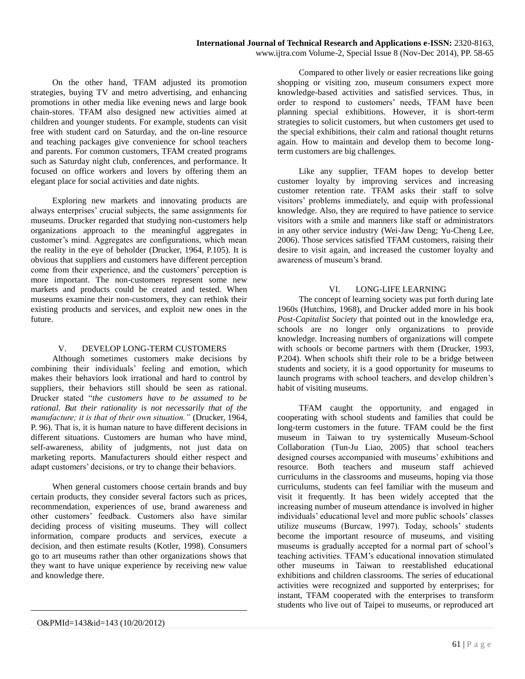On the other hand, TFAM adjusted its promotion strategies, buying TV and metro advertising, and enhancing promotions in other media like evening news and large book chain-stores. TFAM also designed new activities aimed at children and younger students. For example, students can visit free with student card on Saturday, and the on-line resource and teaching packages give convenience for school teachers and parents. For common customers, TFAM created programs such as Saturday night club, conferences, and performance. It focused on office workers and lovers by offering them an elegant place for social activities and date nights.

Exploring new markets and innovating products are always enterprises' crucial subjects, the same assignments for museums. Drucker regarded that studying non-customers help organizations approach to the meaningful aggregates in customer's mind. Aggregates are configurations, which mean the reality in the eye of beholder (Drucker, 1964, P.105). It is obvious that suppliers and customers have different perception come from their experience, and the customers' perception is more important. The non-customers represent some new markets and products could be created and tested. When museums examine their non-customers, they can rethink their existing products and services, and exploit new ones in the future.

## V. DEVELOP LONG-TERM CUSTOMERS

Although sometimes customers make decisions by combining their individuals' feeling and emotion, which makes their behaviors look irrational and hard to control by suppliers, their behaviors still should be seen as rational. Drucker stated "*the customers have to be assumed to be rational. But their rationality is not necessarily that of the manufacture; it is that of their own situation."* (Drucker, 1964, P. 96). That is, it is human nature to have different decisions in different situations. Customers are human who have mind, self-awareness, ability of judgments, not just data on marketing reports. Manufacturers should either respect and adapt customers' decisions, or try to change their behaviors.

When general customers choose certain brands and buy certain products, they consider several factors such as prices, recommendation, experiences of use, brand awareness and other customers' feedback. Customers also have similar deciding process of visiting museums. They will collect information, compare products and services, execute a decision, and then estimate results (Kotler, 1998). Consumers go to art museums rather than other organizations shows that they want to have unique experience by receiving new value and knowledge there.

Compared to other lively or easier recreations like going shopping or visiting zoo, museum consumers expect more knowledge-based activities and satisfied services. Thus, in order to respond to customers' needs, TFAM have been planning special exhibitions. However, it is short-term strategies to solicit customers, but when customers get used to the special exhibitions, their calm and rational thought returns again. How to maintain and develop them to become longterm customers are big challenges.

Like any supplier, TFAM hopes to develop better customer loyalty by improving services and increasing customer retention rate. TFAM asks their staff to solve visitors' problems immediately, and equip with professional knowledge. Also, they are required to have patience to service visitors with a smile and manners like staff or administrators in any other service industry (Wei-Jaw Deng; Yu-Cheng Lee, 2006). Those services satisfied TFAM customers, raising their desire to visit again, and increased the customer loyalty and awareness of museum's brand.

# VI. LONG-LIFE LEARNING

The concept of learning society was put forth during late 1960s (Hutchins, 1968), and Drucker added more in his book *Post-Capitalist Society* that pointed out in the knowledge era, schools are no longer only organizations to provide knowledge. Increasing numbers of organizations will compete with schools or become partners with them (Drucker, 1993, P.204). When schools shift their role to be a bridge between students and society, it is a good opportunity for museums to launch programs with school teachers, and develop children's habit of visiting museums.

TFAM caught the opportunity, and engaged in cooperating with school students and families that could be long-term customers in the future. TFAM could be the first museum in Taiwan to try systemically Museum-School Collaboration (Tun-Ju Liao, 2005) that school teachers designed courses accompanied with museums' exhibitions and resource. Both teachers and museum staff achieved curriculums in the classrooms and museums, hoping via those curriculums, students can feel familiar with the museum and visit it frequently. It has been widely accepted that the increasing number of museum attendance is involved in higher individuals' educational level and more public schools' classes utilize museums (Burcaw, 1997). Today, schools' students become the important resource of museums, and visiting museums is gradually accepted for a normal part of school's teaching activities. TFAM's educational innovation stimulated other museums in Taiwan to reestablished educational exhibitions and children classrooms. The series of educational activities were recognized and supported by enterprises; for instant, TFAM cooperated with the enterprises to transform students who live out of Taipei to museums, or reproduced art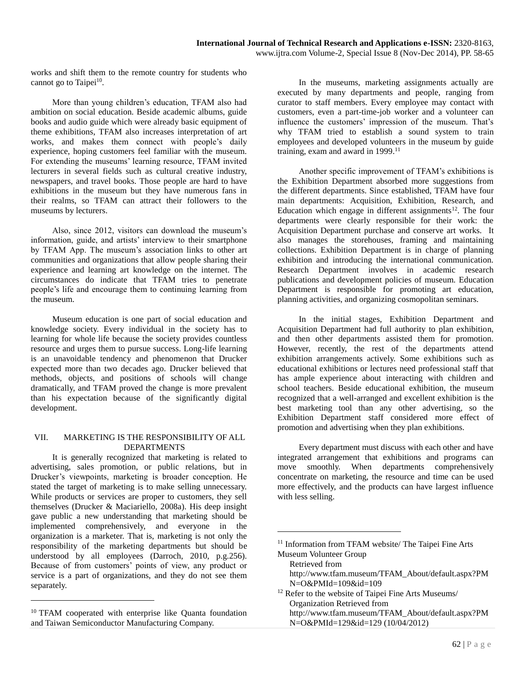works and shift them to the remote country for students who cannot go to Taipei<sup>10</sup>.

More than young children's education, TFAM also had ambition on social education. Beside academic albums, guide books and audio guide which were already basic equipment of theme exhibitions, TFAM also increases interpretation of art works, and makes them connect with people's daily experience, hoping customers feel familiar with the museum. For extending the museums' learning resource, TFAM invited lecturers in several fields such as cultural creative industry, newspapers, and travel books. Those people are hard to have exhibitions in the museum but they have numerous fans in their realms, so TFAM can attract their followers to the museums by lecturers.

Also, since 2012, visitors can download the museum's information, guide, and artists' interview to their smartphone by TFAM App. The museum's [association](http://dict.cn/association) links to other art communities and organizations that allow people sharing their experience and learning art knowledge on the internet. The circumstances do indicate that TFAM tries to penetrate people's life and encourage them to continuing learning from the museum.

Museum education is one part of social education and knowledge society. Every individual in the society has to learning for whole life because the society provides countless resource and urges them to pursue success. Long-life learning is an unavoidable tendency and phenomenon that Drucker expected more than two decades ago. Drucker believed that methods, objects, and positions of schools will change dramatically, and TFAM proved the change is more prevalent than his expectation because of the significantly digital development.

## VII. MARKETING IS THE RESPONSIBILITY OF ALL DEPARTMENTS

It is generally recognized that marketing is related to advertising, sales promotion, or public relations, but in Drucker's viewpoints, marketing is broader conception. He stated the target of marketing is to make selling unnecessary. While products or services are proper to customers, they sell themselves (Drucker & Maciariello, 2008a). His deep insight gave public a new understanding that marketing should be implemented comprehensively, and everyone in the organization is a marketer. That is, marketing is not only the responsibility of the marketing departments but should be understood by all employees (Darroch, 2010, p.g.256). Because of from customers' points of view, any product or service is a part of organizations, and they do not see them separately.

 $\overline{a}$ 

In the museums, marketing assignments actually are executed by many departments and people, ranging from curator to staff members. Every employee may contact with customers, even a part-time-job worker and a volunteer can influence the customers' impression of the museum. That's why TFAM tried to establish a sound system to train employees and developed volunteers in the museum by guide training, exam and award in 1999.<sup>11</sup>

Another specific improvement of TFAM's exhibitions is the Exhibition Department absorbed more suggestions from the different departments. Since established, TFAM have four main departments: Acquisition, Exhibition, Research, and Education which engage in different assignments<sup>12</sup>. The four departments were clearly responsible for their work: the Acquisition Department purchase and conserve art works. It also manages the storehouses, framing and maintaining collections. Exhibition Department is in charge of planning exhibition and introducing the international communication. Research Department involves in academic research publications and development policies of museum. Education Department is responsible for promoting art education, planning activities, and organizing cosmopolitan seminars.

In the initial stages, Exhibition Department and Acquisition Department had full authority to plan exhibition, and then other departments assisted them for promotion. However, recently, the rest of the departments attend exhibition arrangements actively. Some exhibitions such as educational exhibitions or lectures need professional staff that has ample experience about interacting with children and school teachers. Beside educational exhibition, the museum recognized that a well-arranged and excellent exhibition is the best marketing tool than any other advertising, so the Exhibition Department staff considered more effect of promotion and advertising when they plan exhibitions.

Every department must discuss with each other and have integrated arrangement that exhibitions and programs can move smoothly. When departments comprehensively concentrate on marketing, the resource and time can be used more effectively, and the products can have largest influence with less selling.

Retrieved from http://www.tfam.museum/TFAM\_About/default.aspx?PM N=O&PMId=109&id=109

<sup>&</sup>lt;sup>10</sup> TFAM cooperated with enterprise like Quanta foundation and Taiwan Semiconductor Manufacturing Company.

<sup>&</sup>lt;sup>11</sup> Information from TFAM website/ The Taipei Fine Arts Museum Volunteer Group

<sup>&</sup>lt;sup>12</sup> Refer to the website of Taipei Fine Arts Museums/ Organization Retrieved from http://www.tfam.museum/TFAM\_About/default.aspx?PM N=O&PMId=129&id=129 (10/04/2012)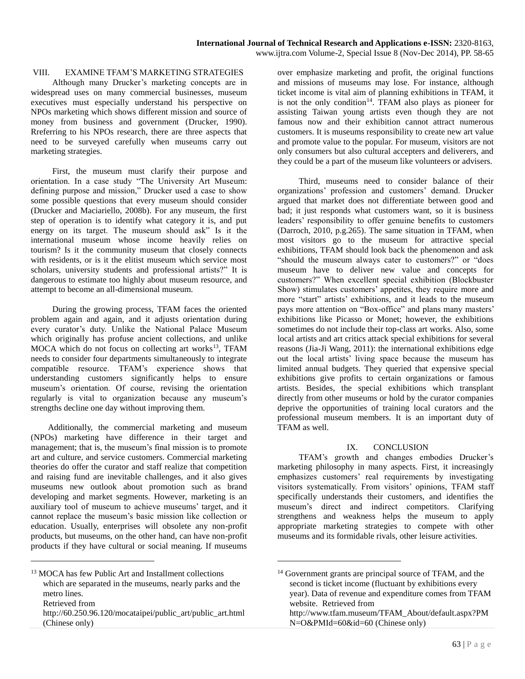# VIII. EXAMINE TFAM'S MARKETING STRATEGIES

Although many Drucker's marketing concepts are in widespread uses on many commercial businesses, museum executives must especially understand his perspective on NPOs marketing which shows different mission and source of money from business and government (Drucker, 1990). Rreferring to his NPOs research, there are three aspects that need to be surveyed carefully when museums carry out marketing strategies.

First, the museum must clarify their purpose and orientation. In a case study "The University Art Museum: defining purpose and mission," Drucker used a case to show some possible questions that every museum should consider (Drucker and Maciariello, 2008b). For any museum, the first step of operation is to identify what category it is, and put energy on its target. The museum should ask" Is it the international museum whose income heavily relies on tourism? Is it the community museum that closely connects with residents, or is it the elitist museum which service most scholars, university students and professional artists?" It is dangerous to [estimate](http://www.nciku.cn/search/en/estimate) [too](http://www.nciku.cn/search/en/too) [highly](http://www.nciku.cn/search/en/highly) about museum resource, and attempt to become an all-dimensional museum.

During the growing process, TFAM faces the oriented problem again and again, and it adjusts orientation during every curator's duty. Unlike the National Palace Museum which originally has profuse ancient collections, and unlike MOCA which do not focus on collecting art works<sup>13</sup>, TFAM needs to consider four departments simultaneously to integrate compatible resource. TFAM's experience shows that understanding customers significantly helps to ensure museum's orientation. Of course, revising the orientation regularly is vital to organization because any museum's strengths decline one day without improving them.

Additionally, the commercial marketing and museum (NPOs) marketing have difference in their target and management; that is, the museum's final mission is to promote art and culture, and service customers. Commercial marketing theories do offer the curator and staff realize that competition and raising fund are inevitable challenges, and it also gives museums new outlook about promotion such as brand developing and market segments. However, marketing is an auxiliary tool of museum to achieve museums' target, and it cannot replace the museum's basic mission like collection or education. Usually, enterprises will obsolete any non-profit products, but museums, on the other hand, can have non-profit products if they have cultural or social meaning. If museums

 $\overline{a}$ 

over emphasize marketing and profit, the original functions and missions of museums may lose. For instance, although ticket income is vital aim of planning exhibitions in TFAM, it is not the only condition<sup>14</sup>. TFAM also plays as pioneer for assisting Taiwan young artists even though they are not famous now and their exhibition cannot attract numerous customers. It is museums responsibility to create new art value and promote value to the popular. For museum, visitors are not only consumers but also cultural accepters and deliverers, and they could be a part of the museum like volunteers or advisers.

Third, museums need to consider balance of their organizations' profession and customers' demand. Drucker argued that market does not differentiate between good and bad; it just responds what customers want, so it is business leaders' responsibility to offer genuine benefits to customers (Darroch, 2010, p.g.265). The same situation in TFAM, when most visitors go to the museum for attractive special exhibitions, TFAM should look back the phenomenon and ask "should the museum always cater to customers?" or "does museum have to deliver new value and concepts for customers?" When excellent special exhibition (Blockbuster Show) stimulates customers' appetites, they require more and more "start" artists' exhibitions, and it leads to the museum pays more attention on "Box-office" and plans many masters' exhibitions like Picasso or Monet; however, the exhibitions sometimes do not include their top-class art works. Also, some local artists and art critics attack special exhibitions for several reasons (Jia-Ji Wang, 2011): the international exhibitions edge out the local artists' living space because the museum has limited annual budgets. They queried that expensive special exhibitions give profits to certain organizations or famous artists. Besides, the special exhibitions which transplant directly from other museums or hold by the curator companies deprive the opportunities of training local curators and the professional museum members. It is an important duty of TFAM as well.

## IX. CONCLUSION

TFAM's growth and changes embodies Drucker's marketing philosophy in many aspects. First, it increasingly emphasizes customers' real requirements by investigating visitors systematically. From visitors' opinions, TFAM staff specifically understands their customers, and identifies the museum's direct and indirect competitors. Clarifying strengthens and weakness helps the museum to apply appropriate marketing strategies to compete with other museums and its formidable rivals, other leisure activities.

<sup>&</sup>lt;sup>13</sup> MOCA has few Public Art and Installment collections which are separated in the museums, nearly parks and the metro lines.

Retrieved from

[http://60.250.96.120/mocataipei/public\\_art/public\\_art.html](http://60.250.96.120/mocataipei/public_art/public_art.html) (Chinese only)

<sup>&</sup>lt;sup>14</sup> Government grants are principal source of TFAM, and the second is ticket income (fluctuant by exhibitions every year). Data of revenue and expenditure comes from TFAM website. Retrieved from [http://www.tfam.museum/TFAM\\_About/default.aspx?PM](http://www.tfam.museum/TFAM_About/default.aspx?PMN=O&PMId=60&id=60) [N=O&PMId=60&id=60](http://www.tfam.museum/TFAM_About/default.aspx?PMN=O&PMId=60&id=60) (Chinese only)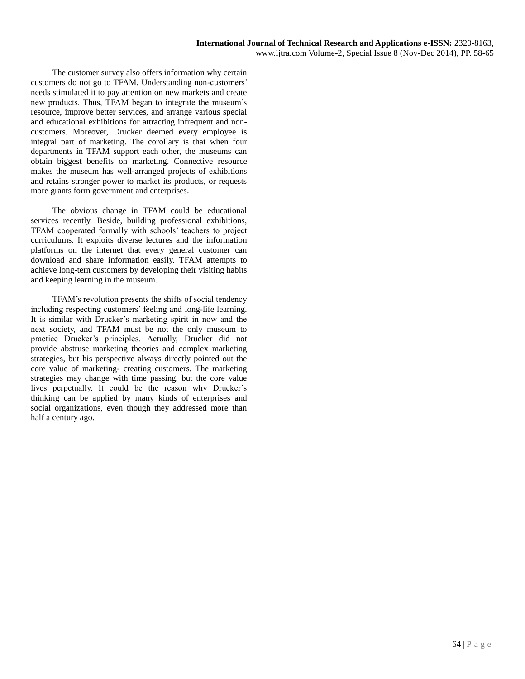The customer survey also offers information why certain customers do not go to TFAM. Understanding non-customers' needs stimulated it to pay attention on new markets and create new products. Thus, TFAM began to integrate the museum's resource, improve better services, and arrange various special and educational exhibitions for attracting infrequent and noncustomers. Moreover, Drucker deemed every employee is integral part of marketing. The corollary is that when four departments in TFAM support each other, the museums can obtain biggest benefits on marketing. Connective resource makes the museum has well-arranged projects of exhibitions and retains stronger power to market its products, or requests more grants form government and enterprises.

The obvious change in TFAM could be educational services recently. Beside, building professional exhibitions, TFAM cooperated formally with schools' teachers to project curriculums. It exploits diverse lectures and the information platforms on the internet that every general customer can download and share information easily. TFAM attempts to achieve long-tern customers by developing their visiting habits and keeping learning in the museum.

TFAM's revolution presents the shifts of social tendency including respecting customers' feeling and long-life learning. It is similar with Drucker's marketing spirit in now and the next society, and TFAM must be not the only museum to practice Drucker's principles. Actually, Drucker did not provide abstruse marketing theories and complex marketing strategies, but his perspective always directly pointed out the core value of marketing- creating customers. The marketing strategies may change with time passing, but the core value lives perpetually. It could be the reason why Drucker's thinking can be applied by many kinds of enterprises and social organizations, even though they addressed more than half a century ago.